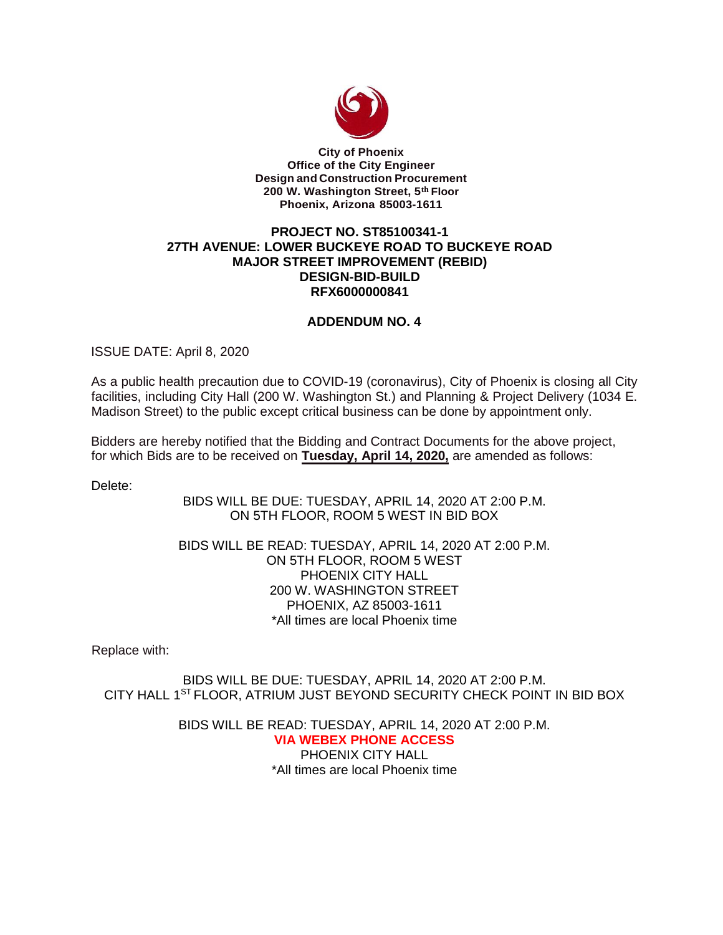

**City of Phoenix Office of the City Engineer Design and Construction Procurement 200 W. Washington Street, 5th Floor Phoenix, Arizona 85003-1611**

## **PROJECT NO. ST85100341-1 27TH AVENUE: LOWER BUCKEYE ROAD TO BUCKEYE ROAD MAJOR STREET IMPROVEMENT (REBID) DESIGN-BID-BUILD RFX6000000841**

## **ADDENDUM NO. 4**

ISSUE DATE: April 8, 2020

As a public health precaution due to COVID-19 (coronavirus), City of Phoenix is closing all City facilities, including City Hall (200 W. Washington St.) and Planning & Project Delivery (1034 E. Madison Street) to the public except critical business can be done by appointment only.

Bidders are hereby notified that the Bidding and Contract Documents for the above project, for which Bids are to be received on **Tuesday, April 14, 2020,** are amended as follows:

Delete:

BIDS WILL BE DUE: TUESDAY, APRIL 14, 2020 AT 2:00 P.M. ON 5TH FLOOR, ROOM 5 WEST IN BID BOX

BIDS WILL BE READ: TUESDAY, APRIL 14, 2020 AT 2:00 P.M. ON 5TH FLOOR, ROOM 5 WEST PHOENIX CITY HALL 200 W. WASHINGTON STREET PHOENIX, AZ 85003-1611 \*All times are local Phoenix time

Replace with:

BIDS WILL BE DUE: TUESDAY, APRIL 14, 2020 AT 2:00 P.M. CITY HALL 1ST FLOOR, ATRIUM JUST BEYOND SECURITY CHECK POINT IN BID BOX

> BIDS WILL BE READ: TUESDAY, APRIL 14, 2020 AT 2:00 P.M. **VIA WEBEX PHONE ACCESS**  PHOENIX CITY HALL \*All times are local Phoenix time